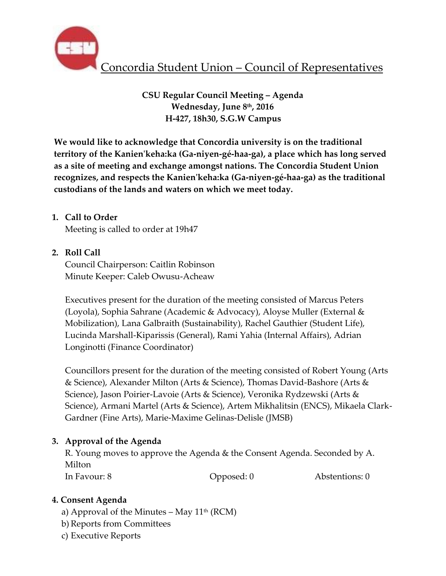

**CSU Regular Council Meeting – Agenda Wednesday, June 8th, 2016 H-427, 18h30, S.G.W Campus** 

**We would like to acknowledge that Concordia university is on the traditional territory of the Kanien'keha:ka (Ga-niyen-gé-haa-ga), a place which has long served as a site of meeting and exchange amongst nations. The Concordia Student Union recognizes, and respects the Kanien'keha:ka (Ga-niyen-gé-haa-ga) as the traditional custodians of the lands and waters on which we meet today.** 

# **1. Call to Order**

Meeting is called to order at 19h47

## **2. Roll Call**

Council Chairperson: Caitlin Robinson Minute Keeper: Caleb Owusu-Acheaw

Executives present for the duration of the meeting consisted of Marcus Peters (Loyola), Sophia Sahrane (Academic & Advocacy), Aloyse Muller (External & Mobilization), Lana Galbraith (Sustainability), Rachel Gauthier (Student Life), Lucinda Marshall-Kiparissis (General), Rami Yahia (Internal Affairs), Adrian Longinotti (Finance Coordinator)

Councillors present for the duration of the meeting consisted of Robert Young (Arts & Science), Alexander Milton (Arts & Science), Thomas David-Bashore (Arts & Science), Jason Poirier-Lavoie (Arts & Science), Veronika Rydzewski (Arts & Science), Armani Martel (Arts & Science), Artem Mikhalitsin (ENCS), Mikaela Clark-Gardner (Fine Arts), Marie-Maxime Gelinas-Delisle (JMSB)

## **3. Approval of the Agenda**

R. Young moves to approve the Agenda & the Consent Agenda. Seconded by A. Milton

In Favour: 8 Copposed: 0 Abstentions: 0

## **4. Consent Agenda**

- a) Approval of the Minutes May  $11^{th}$  (RCM)
- b) Reports from Committees
- c) Executive Reports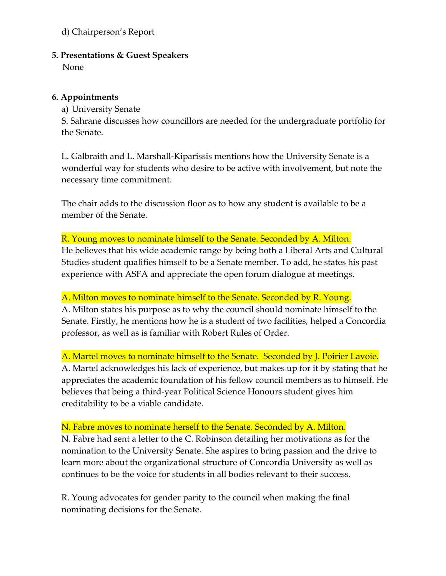# d) Chairperson's Report

### **5. Presentations & Guest Speakers**

None

### **6. Appointments**

a) University Senate

S. Sahrane discusses how councillors are needed for the undergraduate portfolio for the Senate.

L. Galbraith and L. Marshall-Kiparissis mentions how the University Senate is a wonderful way for students who desire to be active with involvement, but note the necessary time commitment.

The chair adds to the discussion floor as to how any student is available to be a member of the Senate.

R. Young moves to nominate himself to the Senate. Seconded by A. Milton. He believes that his wide academic range by being both a Liberal Arts and Cultural Studies student qualifies himself to be a Senate member. To add, he states his past experience with ASFA and appreciate the open forum dialogue at meetings.

A. Milton moves to nominate himself to the Senate. Seconded by R. Young. A. Milton states his purpose as to why the council should nominate himself to the Senate. Firstly, he mentions how he is a student of two facilities, helped a Concordia professor, as well as is familiar with Robert Rules of Order.

A. Martel moves to nominate himself to the Senate. Seconded by J. Poirier Lavoie. A. Martel acknowledges his lack of experience, but makes up for it by stating that he appreciates the academic foundation of his fellow council members as to himself. He believes that being a third-year Political Science Honours student gives him creditability to be a viable candidate.

N. Fabre moves to nominate herself to the Senate. Seconded by A. Milton.

N. Fabre had sent a letter to the C. Robinson detailing her motivations as for the nomination to the University Senate. She aspires to bring passion and the drive to learn more about the organizational structure of Concordia University as well as continues to be the voice for students in all bodies relevant to their success.

R. Young advocates for gender parity to the council when making the final nominating decisions for the Senate.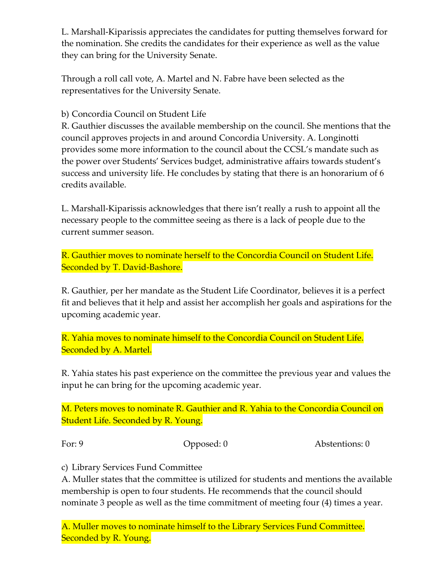L. Marshall-Kiparissis appreciates the candidates for putting themselves forward for the nomination. She credits the candidates for their experience as well as the value they can bring for the University Senate.

Through a roll call vote, A. Martel and N. Fabre have been selected as the representatives for the University Senate.

b) Concordia Council on Student Life

R. Gauthier discusses the available membership on the council. She mentions that the council approves projects in and around Concordia University. A. Longinotti provides some more information to the council about the CCSL's mandate such as the power over Students' Services budget, administrative affairs towards student's success and university life. He concludes by stating that there is an honorarium of 6 credits available.

L. Marshall-Kiparissis acknowledges that there isn't really a rush to appoint all the necessary people to the committee seeing as there is a lack of people due to the current summer season.

R. Gauthier moves to nominate herself to the Concordia Council on Student Life. Seconded by T. David-Bashore.

R. Gauthier, per her mandate as the Student Life Coordinator, believes it is a perfect fit and believes that it help and assist her accomplish her goals and aspirations for the upcoming academic year.

R. Yahia moves to nominate himself to the Concordia Council on Student Life. Seconded by A. Martel.

R. Yahia states his past experience on the committee the previous year and values the input he can bring for the upcoming academic year.

M. Peters moves to nominate R. Gauthier and R. Yahia to the Concordia Council on Student Life. Seconded by R. Young.

For: 9 Opposed: 0 Abstentions: 0

c) Library Services Fund Committee

A. Muller states that the committee is utilized for students and mentions the available membership is open to four students. He recommends that the council should nominate 3 people as well as the time commitment of meeting four (4) times a year.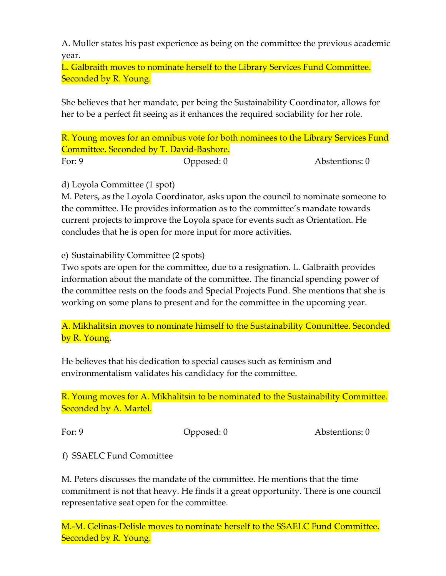A. Muller states his past experience as being on the committee the previous academic year.

L. Galbraith moves to nominate herself to the Library Services Fund Committee. Seconded by R. Young.

She believes that her mandate, per being the Sustainability Coordinator, allows for her to be a perfect fit seeing as it enhances the required sociability for her role.

R. Young moves for an omnibus vote for both nominees to the Library Services Fund Committee. Seconded by T. David-Bashore.

For: 9 Opposed: 0 Abstentions: 0

d) Loyola Committee (1 spot)

M. Peters, as the Loyola Coordinator, asks upon the council to nominate someone to the committee. He provides information as to the committee's mandate towards current projects to improve the Loyola space for events such as Orientation. He concludes that he is open for more input for more activities.

e) Sustainability Committee (2 spots)

Two spots are open for the committee, due to a resignation. L. Galbraith provides information about the mandate of the committee. The financial spending power of the committee rests on the foods and Special Projects Fund. She mentions that she is working on some plans to present and for the committee in the upcoming year.

A. Mikhalitsin moves to nominate himself to the Sustainability Committee. Seconded by R. Young.

He believes that his dedication to special causes such as feminism and environmentalism validates his candidacy for the committee.

R. Young moves for A. Mikhalitsin to be nominated to the Sustainability Committee. Seconded by A. Martel.

For: 9 Opposed: 0 Abstentions: 0

f) SSAELC Fund Committee

M. Peters discusses the mandate of the committee. He mentions that the time commitment is not that heavy. He finds it a great opportunity. There is one council representative seat open for the committee.

M.-M. Gelinas-Delisle moves to nominate herself to the SSAELC Fund Committee. Seconded by R. Young.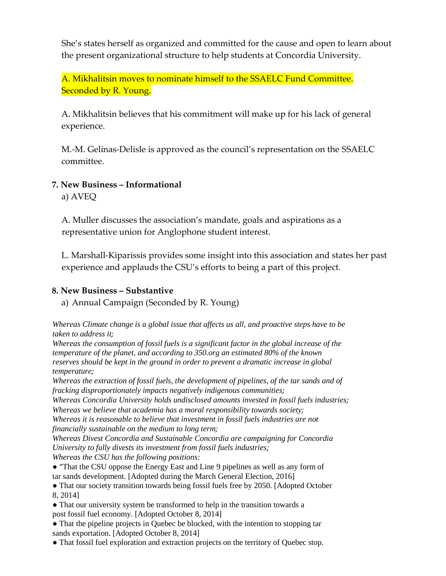She's states herself as organized and committed for the cause and open to learn about the present organizational structure to help students at Concordia University.

A. Mikhalitsin moves to nominate himself to the SSAELC Fund Committee. Seconded by R. Young.

A. Mikhalitsin believes that his commitment will make up for his lack of general experience.

M.-M. Gelinas-Delisle is approved as the council's representation on the SSAELC committee.

## **7. New Business – Informational**

a) AVEQ

A. Muller discusses the association's mandate, goals and aspirations as a representative union for Anglophone student interest.

L. Marshall-Kiparissis provides some insight into this association and states her past experience and applauds the CSU's efforts to being a part of this project.

### **8. New Business – Substantive**

a) Annual Campaign (Seconded by R. Young)

*Whereas Climate change is a global issue that affects us all, and proactive steps have to be taken to address it;*

*Whereas the consumption of fossil fuels is a significant factor in the global increase of the temperature of the planet, and according to 350.org an estimated 80% of the known reserves should be kept in the ground in order to prevent a dramatic increase in global temperature;*

*Whereas the extraction of fossil fuels, the development of pipelines, of the tar sands and of fracking disproportionately impacts negatively indigenous communities;*

*Whereas Concordia University holds undisclosed amounts invested in fossil fuels industries; Whereas we believe that academia has a moral responsibility towards society;*

*Whereas it is reasonable to believe that investment in fossil fuels industries are not financially sustainable on the medium to long term;*

*Whereas Divest Concordia and Sustainable Concordia are campaigning for Concordia University to fully divests its investment from fossil fuels industries; Whereas the CSU has the following positions:*

● "That the CSU oppose the Energy East and Line 9 pipelines as well as any form of tar sands development. [Adopted during the March General Election, 2016]

• That our society transition towards being fossil fuels free by 2050. [Adopted October 8, 2014]

• That our university system be transformed to help in the transition towards a post fossil fuel economy. [Adopted October 8, 2014]

• That the pipeline projects in Quebec be blocked, with the intention to stopping tar sands exportation. [Adopted October 8, 2014]

● That fossil fuel exploration and extraction projects on the territory of Quebec stop.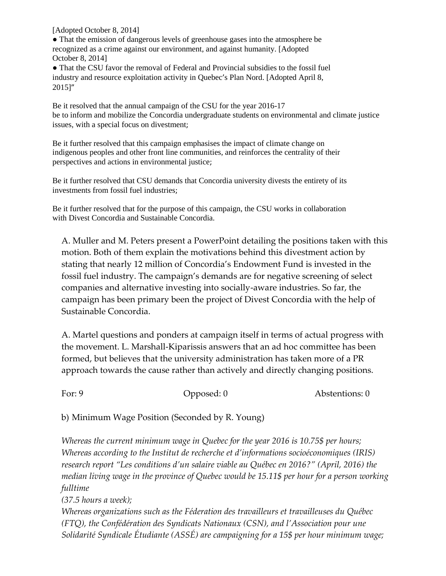[Adopted October 8, 2014]

● That the emission of dangerous levels of greenhouse gases into the atmosphere be recognized as a crime against our environment, and against humanity. [Adopted October 8, 2014]

● That the CSU favor the removal of Federal and Provincial subsidies to the fossil fuel industry and resource exploitation activity in Quebec's Plan Nord. [Adopted April 8, 2015]"

Be it resolved that the annual campaign of the CSU for the year 2016-17 be to inform and mobilize the Concordia undergraduate students on environmental and climate justice issues, with a special focus on divestment;

Be it further resolved that this campaign emphasises the impact of climate change on indigenous peoples and other front line communities, and reinforces the centrality of their perspectives and actions in environmental justice;

Be it further resolved that CSU demands that Concordia university divests the entirety of its investments from fossil fuel industries;

Be it further resolved that for the purpose of this campaign, the CSU works in collaboration with Divest Concordia and Sustainable Concordia.

A. Muller and M. Peters present a PowerPoint detailing the positions taken with this motion. Both of them explain the motivations behind this divestment action by stating that nearly 12 million of Concordia's Endowment Fund is invested in the fossil fuel industry. The campaign's demands are for negative screening of select companies and alternative investing into socially-aware industries. So far, the campaign has been primary been the project of Divest Concordia with the help of Sustainable Concordia.

A. Martel questions and ponders at campaign itself in terms of actual progress with the movement. L. Marshall-Kiparissis answers that an ad hoc committee has been formed, but believes that the university administration has taken more of a PR approach towards the cause rather than actively and directly changing positions.

For: 9 Opposed: 0 Abstentions: 0

b) Minimum Wage Position (Seconded by R. Young)

*Whereas the current minimum wage in Quebec for the year 2016 is 10.75\$ per hours; Whereas according to the Institut de recherche et d'informations socioéconomiques (IRIS) research report "Les conditions d'un salaire viable au Québec en 2016?" (April, 2016) the median living wage in the province of Quebec would be 15.11\$ per hour for a person working fulltime*

*(37.5 hours a week);*

*Whereas organizations such as the Féderation des travailleurs et travailleuses du Québec (FTQ), the Confédération des Syndicats Nationaux (CSN), and l'Association pour une Solidarité Syndicale Étudiante (ASSÉ) are campaigning for a 15\$ per hour minimum wage;*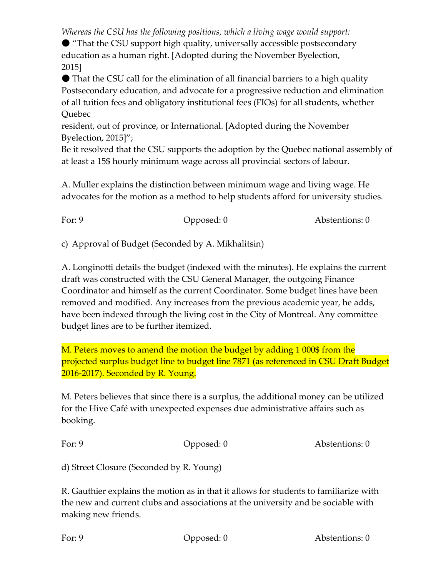*Whereas the CSU has the following positions, which a living wage would support:*

● "That the CSU support high quality, universally accessible postsecondary education as a human right. [Adopted during the November Byelection, 2015]

● That the CSU call for the elimination of all financial barriers to a high quality Postsecondary education, and advocate for a progressive reduction and elimination of all tuition fees and obligatory institutional fees (FIOs) for all students, whether Quebec

resident, out of province, or International. [Adopted during the November Byelection, 2015]";

Be it resolved that the CSU supports the adoption by the Quebec national assembly of at least a 15\$ hourly minimum wage across all provincial sectors of labour.

A. Muller explains the distinction between minimum wage and living wage. He advocates for the motion as a method to help students afford for university studies.

| Abstentions: 0 |
|----------------|
|                |

c) Approval of Budget (Seconded by A. Mikhalitsin)

A. Longinotti details the budget (indexed with the minutes). He explains the current draft was constructed with the CSU General Manager, the outgoing Finance Coordinator and himself as the current Coordinator. Some budget lines have been removed and modified. Any increases from the previous academic year, he adds, have been indexed through the living cost in the City of Montreal. Any committee budget lines are to be further itemized.

M. Peters moves to amend the motion the budget by adding 1 000\$ from the projected surplus budget line to budget line 7871 (as referenced in CSU Draft Budget 2016-2017). Seconded by R. Young.

M. Peters believes that since there is a surplus, the additional money can be utilized for the Hive Café with unexpected expenses due administrative affairs such as booking.

| For: $9$<br>Abstentions: 0<br>Opposed: $0$ |
|--------------------------------------------|
|--------------------------------------------|

d) Street Closure (Seconded by R. Young)

R. Gauthier explains the motion as in that it allows for students to familiarize with the new and current clubs and associations at the university and be sociable with making new friends.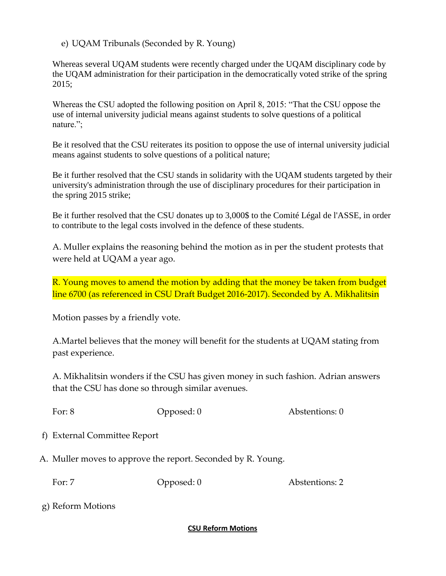e) UQAM Tribunals (Seconded by R. Young)

Whereas several UQAM students were recently charged under the UQAM disciplinary code by the UQAM administration for their participation in the democratically voted strike of the spring 2015;

Whereas the CSU adopted the following position on April 8, 2015: "That the CSU oppose the use of internal university judicial means against students to solve questions of a political nature.";

Be it resolved that the CSU reiterates its position to oppose the use of internal university judicial means against students to solve questions of a political nature;

Be it further resolved that the CSU stands in solidarity with the UQAM students targeted by their university's administration through the use of disciplinary procedures for their participation in the spring 2015 strike;

Be it further resolved that the CSU donates up to 3,000\$ to the Comité Légal de l'ASSE, in order to contribute to the legal costs involved in the defence of these students.

A. Muller explains the reasoning behind the motion as in per the student protests that were held at UQAM a year ago.

R. Young moves to amend the motion by adding that the money be taken from budget line 6700 (as referenced in CSU Draft Budget 2016-2017). Seconded by A. Mikhalitsin

Motion passes by a friendly vote.

A.Martel believes that the money will benefit for the students at UQAM stating from past experience.

A. Mikhalitsin wonders if the CSU has given money in such fashion. Adrian answers that the CSU has done so through similar avenues.

For: 8 Opposed: 0 Abstentions: 0

f) External Committee Report

A. Muller moves to approve the report. Seconded by R. Young.

For: 7 Copposed: 0 Abstentions: 2

g) Reform Motions

### **CSU Reform Motions**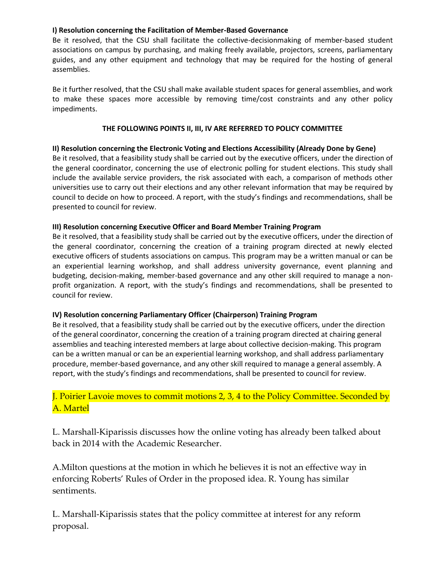#### **I) Resolution concerning the Facilitation of Member-Based Governance**

Be it resolved, that the CSU shall facilitate the collective-decisionmaking of member-based student associations on campus by purchasing, and making freely available, projectors, screens, parliamentary guides, and any other equipment and technology that may be required for the hosting of general assemblies.

Be it further resolved, that the CSU shall make available student spaces for general assemblies, and work to make these spaces more accessible by removing time/cost constraints and any other policy impediments.

#### **THE FOLLOWING POINTS II, III, IV ARE REFERRED TO POLICY COMMITTEE**

### **II) Resolution concerning the Electronic Voting and Elections Accessibility (Already Done by Gene)**

Be it resolved, that a feasibility study shall be carried out by the executive officers, under the direction of the general coordinator, concerning the use of electronic polling for student elections. This study shall include the available service providers, the risk associated with each, a comparison of methods other universities use to carry out their elections and any other relevant information that may be required by council to decide on how to proceed. A report, with the study's findings and recommendations, shall be presented to council for review.

#### **III) Resolution concerning Executive Officer and Board Member Training Program**

Be it resolved, that a feasibility study shall be carried out by the executive officers, under the direction of the general coordinator, concerning the creation of a training program directed at newly elected executive officers of students associations on campus. This program may be a written manual or can be an experiential learning workshop, and shall address university governance, event planning and budgeting, decision-making, member-based governance and any other skill required to manage a nonprofit organization. A report, with the study's findings and recommendations, shall be presented to council for review.

### **IV) Resolution concerning Parliamentary Officer (Chairperson) Training Program**

Be it resolved, that a feasibility study shall be carried out by the executive officers, under the direction of the general coordinator, concerning the creation of a training program directed at chairing general assemblies and teaching interested members at large about collective decision-making. This program can be a written manual or can be an experiential learning workshop, and shall address parliamentary procedure, member-based governance, and any other skill required to manage a general assembly. A report, with the study's findings and recommendations, shall be presented to council for review.

# J. Poirier Lavoie moves to commit motions 2, 3, 4 to the Policy Committee. Seconded by A. Martel

L. Marshall-Kiparissis discusses how the online voting has already been talked about back in 2014 with the Academic Researcher.

A.Milton questions at the motion in which he believes it is not an effective way in enforcing Roberts' Rules of Order in the proposed idea. R. Young has similar sentiments.

L. Marshall-Kiparissis states that the policy committee at interest for any reform proposal.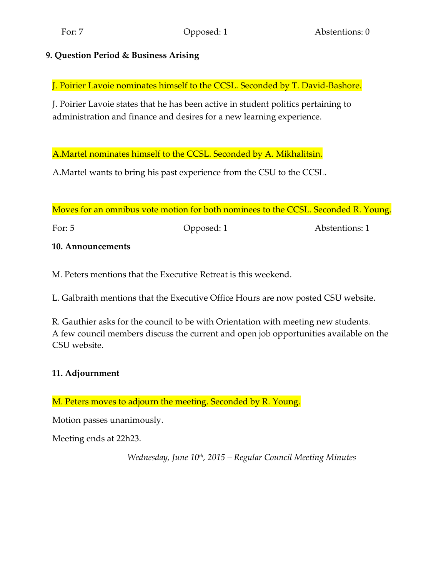# **9. Question Period & Business Arising**

J. Poirier Lavoie nominates himself to the CCSL. Seconded by T. David-Bashore.

J. Poirier Lavoie states that he has been active in student politics pertaining to administration and finance and desires for a new learning experience.

A.Martel nominates himself to the CCSL. Seconded by A. Mikhalitsin.

A.Martel wants to bring his past experience from the CSU to the CCSL.

Moves for an omnibus vote motion for both nominees to the CCSL. Seconded R. Young.

For: 5 Opposed: 1 Abstentions: 1

## **10. Announcements**

M. Peters mentions that the Executive Retreat is this weekend.

L. Galbraith mentions that the Executive Office Hours are now posted CSU website.

R. Gauthier asks for the council to be with Orientation with meeting new students. A few council members discuss the current and open job opportunities available on the CSU website.

# **11. Adjournment**

M. Peters moves to adjourn the meeting. Seconded by R. Young.

Motion passes unanimously.

Meeting ends at 22h23.

*Wednesday, June 10th, 2015 – Regular Council Meeting Minutes*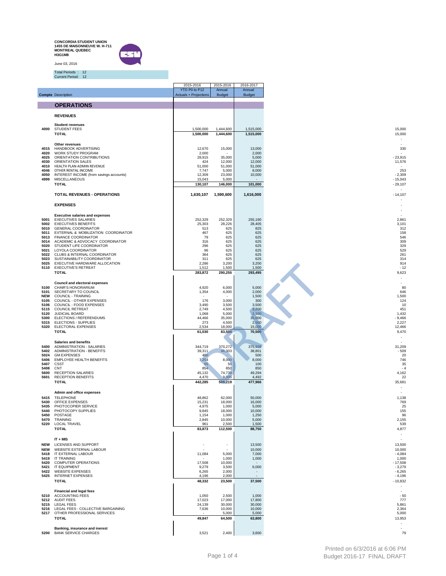**CONCORDIA STUDENT UNION 1455 DE MAISONNEUVE W. H-711 MONTREAL QUEBEC H3G1M8** June 03, 2016



Total Periods : 12 Current Period: 12

|                    |                                                                      | 2015-2016<br>YTD P0 to P12   | 2015-2016<br>Annual    | 2016-2017<br>Annual    |                                       |
|--------------------|----------------------------------------------------------------------|------------------------------|------------------------|------------------------|---------------------------------------|
|                    | <b>Compte Description</b>                                            | <b>Actuals + Projections</b> | Budget                 | <b>Budget</b>          |                                       |
|                    | <b>OPERATIONS</b>                                                    |                              |                        |                        |                                       |
|                    | <b>REVENUES</b>                                                      |                              |                        |                        |                                       |
|                    | <b>Student revenues</b>                                              |                              |                        |                        |                                       |
| 4000               | <b>STUDENT FEES</b><br><b>TOTAL</b>                                  | 1,500,000<br>1,500,000       | 1,444,600<br>1,444,600 | 1,515,000<br>1,515,000 | 15,000<br>15,000                      |
|                    | Other revenues                                                       |                              |                        |                        |                                       |
| 4015<br>4020       | HANDBOOK ADVERTISING<br>WORK STUDY PROGRAM                           | 12,670<br>2,000              | 15,000                 | 13,000<br>2,000        | 330                                   |
| 4025<br>4030       | ORIENTATION CONTRIBUTIONS<br>ORIENTATION SALES                       | 28,915<br>424                | 35,000<br>12,000       | 5,000<br>12,000        | $-23,915$<br>11,576                   |
| 4010<br>4046       | HEALTH PLAN ADMIN REVENUE<br>OTHER RENTAL INCOME                     | 51,000<br>7,747              | 51,000<br>5,000        | 51,000<br>8,000        | 253                                   |
| 4050<br>4999       | INTEREST INCOME (from savings accounts)<br><b>MISCELLANEOUS</b>      | 12,309<br>15,043             | 23,000<br>5,000        | 10,000                 | $-2,309$<br>$-15,043$                 |
|                    | <b>TOTAL</b>                                                         | 130,107                      | 146,000                | 101,000                | $-29,107$                             |
|                    | TOTAL REVENUES - OPERATIONS                                          | 1,630,107                    | 1,590,600              | 1,616,000              | $\overline{\phantom{a}}$<br>$-14,107$ |
|                    | <b>EXPENSES</b>                                                      |                              |                        |                        |                                       |
|                    | <b>Executive salaries and expenses</b>                               |                              |                        |                        |                                       |
|                    | 5001 EXECUTIVES SALARIES<br>5002 EXECUTIVES BENEFITS                 | 252,329<br>25,303            | 252,329<br>28,226      | 255,190<br>28,405      | 2,861<br>3,101                        |
|                    | 5010 GENERAL COORDINATOR<br>5011 EXTERNAL & MOBILIZATION COORDINATOR | 513<br>467                   | 625<br>625             | 825<br>625             | 312<br>158                            |
|                    | 5013 FINANCE COORDINATOR<br>5014 ACADEMIC & ADVOCACY COORDINATOR     | 79                           | 625                    | 625                    | 546                                   |
|                    | 5020 STUDENT LIFE COORDINATOR                                        | 316<br>296                   | 625<br>625             | 625<br>625             | 309<br>329                            |
|                    | 5021 LOYOLA COORDINATOR<br>5022 CLUBS & INTERNAL COORDINATOR         | 96<br>364                    | 625<br>625             | 625<br>625             | 529<br>261                            |
| 5025               | 5023 SUSTAINABILITY COORDINATOR<br>EXECUTIVE HARDWARE ALLOCATION     | 311<br>2,286                 | 625<br>3,200           | 625<br>3,200           | 314<br>914                            |
|                    | 5110 EXECUTIVE'S RETREAT<br><b>TOTAL</b>                             | 1,512<br>283,872             | 1,500<br>290,255       | 1,500<br>293,495       | $-12$<br>9,623                        |
|                    |                                                                      |                              |                        |                        | $\sim$                                |
| 5100               | <b>Council and electoral expenses</b><br>CHAIR'S HONORARIUM          | 4,920                        | 6,000                  | 5,000                  | 80                                    |
| 5101<br><b>NEW</b> | SECRETARY TO COUNCIL<br>COUNCIL - TRAINING                           | 1,354                        | 4,000                  | 2,000<br>1,500         | 646<br>1,500                          |
| 5105<br>5106       | COUNCIL - OTHER EXPENSES<br>COUNCIL - FOOD EXPENSES                  | 176<br>3,490                 | 3,000<br>3,500         | 300<br>3,500           | 124<br>10                             |
| 5115<br>5120       | <b>COUNCIL RETREAT</b><br>JUDICIAL BOARD                             | 2,749<br>1,068               | 4,500<br>5,000         | 3,200<br>2,500         | 451<br>1,432                          |
|                    | 5300 ELECTIONS / REFERENDUMS<br>5315 ELECTIONS - SUPPLIES            | 44,466<br>273                | 35,000<br>4,500        | 35,000<br>2,500        | $-9,466$<br>2,227                     |
| 5320               | ELECTORAL EXPENSES<br><b>TOTAL</b>                                   | 2,534<br>61,030              | 18,000<br>83,500       | 15,000<br>70,500       | 12,466<br>9,470                       |
|                    |                                                                      |                              |                        |                        |                                       |
| 5400               | <b>Salaries and benefits</b><br>ADMINISTRATION - SALARIES            | 344,719                      | 370,272                | 375,928                | 31,209                                |
| 5402<br>5024       | ADMINISTRATION - BENEFITS<br><b>GM EXPENSES</b>                      | 39,311<br>480                | 46,303                 | 38,801<br>500          | $-509$<br>20                          |
| 5406<br>5407       | EMPLOYEE HEALTH BENEFITS<br>CSST                                     | 7,254<br>65                  | 8,000<br>50            | 8,000<br>100           | 746<br>35                             |
| 5408<br>5600       | CNT<br><b>RECEPTION SALARIES</b>                                     | 854<br>45,132                | 850<br>74,739          | 850<br>49,294          | - 4<br>4,162                          |
| 5601               | <b>RECEPTION BENEFITS</b><br><b>TOTAL</b>                            | 4,470<br>442,285             | 9,005<br>509,219       | 4,492<br>477,966       | 22<br>35,681                          |
|                    |                                                                      |                              |                        |                        | $\overline{a}$                        |
|                    | Admin and office expenses<br>5415 TELEPHONE                          | 48,862                       | 62,000                 | 50,000                 | 1,138                                 |
|                    | 5430 OFFICE EXPENSES<br>5435 PHOTOCOPIER SERVICE                     | 15,231<br>4,975              | 18,000<br>1,000        | 16,000<br>5,000        | 769<br>25                             |
| 5440               | PHOTOCOPY SUPPLIES<br>5450 POSTAGE                                   | 9,845<br>1,154               | 18,000<br>1,000        | 10,000<br>1,250        | 155<br>96                             |
|                    | 5470 TRAINING<br>5220 LOCAL TRAVEL                                   | 2,845<br>961                 | 10,000<br>2,500        | 5,000<br>1,500         | 2,155<br>539                          |
|                    | <b>TOTAL</b>                                                         | 83,873                       | 112,500                | 88,750                 | 4,877                                 |
|                    | $IT + MIS$                                                           |                              |                        |                        | $\sim$<br>$\overline{\phantom{a}}$    |
|                    | NEW LICENSES AND SUPPORT<br><b>NEW</b> WEBSITE EXTERNAL LABOUR       | $\overline{\phantom{a}}$     | $\sim$                 | 13,500<br>10,000       | 13,500<br>10,000                      |
|                    | 5418 IT EXTERNAL LABOUR                                              | 11,084                       | 5,000                  | 7,000                  | $-4,084$                              |
|                    | 5419 IT TRAINING<br>5420 COMPUTER OPERATIONS                         | 17,508                       | 1,000<br>10,000        | 1,000                  | 1,000<br>$-17,508$                    |
|                    | 5421 IT EQUIPMENT<br>5422 WEBSITE EXPENSES                           | 9,279<br>6,265               | 3,500<br>2,000         | 6,000<br>$\sim$        | $-3,279$<br>$-6,265$                  |
|                    | 5425 INTERNET EXPENSES<br><b>TOTAL</b>                               | 4,196<br>48,332              | 2,000<br>23,500        | 37,500                 | $-4,196$<br>$-10,832$                 |
|                    | <b>Financial and legal fees</b>                                      |                              |                        |                        |                                       |
|                    | 5210 ACCOUNTING FEES<br>5212 AUDIT FEES                              | 1,050<br>17,023              | 2,500<br>17,000        | 1,000<br>17,800        | $-50$<br>777                          |
|                    | 5215 LEGAL FEES<br>5216 LEGAL FEES - COLLECTIVE BARGAINING           | 24,139                       | 30,000                 | 30,000                 | 5,861                                 |
|                    | 5217 OTHER PROFESSIONAL SERVICES                                     | 7,636                        | 10,000<br>5,000        | 10,000<br>5,000        | 2,364<br>5,000                        |
|                    | <b>TOTAL</b>                                                         | 49,847                       | 64,500                 | 63,800                 | 13,953<br>$\sim$                      |
| 5200               | Banking, insurance and inerest<br><b>BANK SERVICE CHARGES</b>        | 3,521                        | 2,400                  | 3,600                  | $\overline{\phantom{a}}$<br>79        |
|                    |                                                                      |                              |                        |                        |                                       |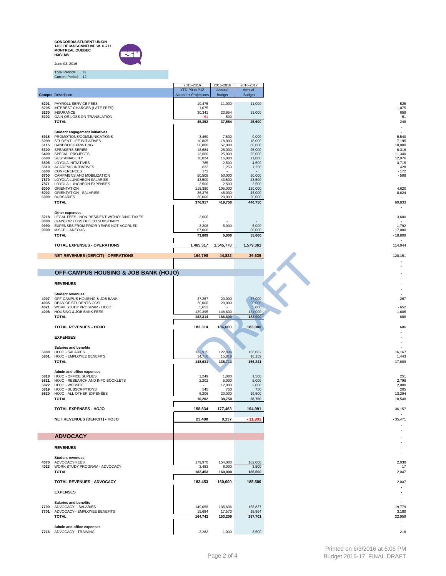**CONCORDIA STUDENT UNION 1455 DE MAISONNEUVE W. H-711 MONTREAL QUEBEC H3G1M8** June 03, 2016



Total Periods : 12 Current Period: 12

|              |                                                                           | 2015-2016                    | 2015-2016                | 2016-2017                |                                    |
|--------------|---------------------------------------------------------------------------|------------------------------|--------------------------|--------------------------|------------------------------------|
|              |                                                                           | YTD P0 to P12                | Annual                   | Annual                   |                                    |
|              | <b>Compte Description</b>                                                 | <b>Actuals + Projections</b> | <b>Budget</b>            | <b>Budget</b>            |                                    |
| 5201<br>5205 | PAYROLL SERVICE FEES<br><b>INTEREST CHARGES (LATE FEES)</b>               | 10,475<br>1,075              | 11,000                   | 11,000                   | 525<br>$-1,075$                    |
| 5230         | <b>INSURANCE</b>                                                          | 30,341                       | 23,654                   | 31,000                   | 659                                |
| 5202         | GAIN OR LOSS ON TRANSLATION                                               | $-61$                        | 500                      |                          | 61                                 |
|              | <b>TOTAL</b>                                                              | 45,352                       | 37,554                   | 45,600                   | 248<br>$\overline{\phantom{a}}$    |
|              | <b>Student engagement initiatives</b>                                     |                              |                          |                          |                                    |
| 5915<br>6099 | PROMOTIONS/COMMUNICATIONS<br>STUDENT LIFE INITIATIVES                     | 3,460<br>10,805              | 7,500<br>18,000          | 9,000<br>18,000          | 5,540<br>7,195                     |
| 6115         | <b>HANDBOOK PRINTING</b>                                                  | 50,000                       | 57,000                   | 60,000                   | 10,000                             |
| 6300         | <b>SPEAKERS SERIES</b>                                                    | 18,684                       | 25,000                   | 25,000                   | 6,316                              |
| 6400<br>6500 | SPECIAL PROJECTS<br><b>SUSTAINABILITY</b>                                 | 13,660<br>10,024             | 25,000<br>16,000         | 25,000<br>23,000         | 11,340<br>12,976                   |
|              | 6505 LOYOLA INITIATIVES                                                   | 785                          | 2,500                    | 4,500                    | 3,715                              |
|              | 6510 ACADEMIC INITIATIVES<br>6600 CONFERENCES                             | 822<br>172                   | 1,250                    | 1,250                    | 428<br>$-172$                      |
|              | 6700 CAMPAIGNS AND MOBILIZATION<br>7870 LOYOLA LUNCHEON SALARIES          | 50,508<br>43,500             | 50,000<br>43,500         | 50,000<br>43,500         | $-508$<br>$\overline{\phantom{a}}$ |
| 7871         | LOYOLA LUNCHEON EXPENSES                                                  | 2,500                        | 2,500                    | 2,500                    | $\overline{\phantom{a}}$           |
| 6000<br>6002 | ORIENTATION<br>ORIENTATION - SALARIES                                     | 115,380<br>36,376            | 105,000<br>45,000        | 120,000                  | 4,620<br>8,624                     |
| 6999         | <b>BURSARIES</b>                                                          | 20,000                       | 20,000                   | 45,000<br>20,000         |                                    |
|              | <b>TOTAL</b>                                                              | 376,917                      | 419,750                  | 446,750                  | 69,833                             |
|              | Other expenses                                                            |                              |                          |                          |                                    |
| 5218         | LEGAL FEES - NON-RESIDENT WITHOLDING TAXES                                | 3,600                        | $\overline{\phantom{a}}$ | $\overline{\phantom{a}}$ | $-3,600$                           |
| 8000<br>9990 | (GAIN) OR LOSS DUE TO SUBSIDIARY<br>EXPENSES FROM PRIOR YEARS NOT ACCRUED | 3,208                        | 5,000                    | 5,000                    | 1,792                              |
| 9999         | <b>MISCELLANEOUS</b>                                                      | 67,000                       |                          | 50,000                   | $-17,000$                          |
|              | <b>TOTAL</b>                                                              | 73,809                       | 5,000                    | 55,000                   | $-18,809$                          |
|              |                                                                           |                              |                          |                          |                                    |
|              | TOTAL EXPENSES - OPERATIONS                                               | 1,465,317                    | 1,545,778                | 1,579,361                | 114,044                            |
|              | <b>NET REVENUES (DEFICIT) - OPERATIONS</b>                                | 164,790                      | 44,822                   | 36,639                   | $-128,151$                         |
|              |                                                                           |                              |                          |                          |                                    |
|              |                                                                           |                              |                          |                          |                                    |
|              | OFF-CAMPUS HOUSING & JOB BANK (HOJO)                                      |                              |                          |                          |                                    |
|              | <b>REVENUES</b>                                                           |                              |                          |                          |                                    |
|              |                                                                           |                              |                          |                          |                                    |
|              | <b>Student revenues</b>                                                   |                              |                          |                          |                                    |
| 4007<br>4035 | OFF-CAMPUS HOUSING & JOB BANK<br>DEAN OF STUDENTS CCSL                    | 27,267<br>20,000             | 20,000<br>20,000         | 27,000<br>20,000         | $-267$<br>$\overline{\phantom{a}}$ |
| 4021         | WORK STUDY PROGRAM - HOJO                                                 | 5,652                        |                          | 5,000                    | $-652$                             |
| 4008         | HOUSING & JOB BANK FEES<br><b>TOTAL</b>                                   | 129,395<br>182,314           | 146,600<br>186,600       | 131,000<br>183,000       | 1,605<br>686                       |
|              |                                                                           |                              |                          |                          |                                    |
|              | TOTAL REVENUES - HOJO                                                     | 182,314                      | 186,600                  | 183,000                  | 686                                |
|              |                                                                           |                              |                          |                          |                                    |
|              | <b>EXPENSES</b>                                                           |                              |                          |                          |                                    |
|              | <b>Salaries and benefits</b>                                              |                              |                          |                          |                                    |
| 5800<br>5801 | HOJO - SALARIES<br>HOJO - EMPLOYEE BENEFITS                               | 133,915<br>14,716            | 122,894<br>15,819        | 150,082<br>16,159        | 16,167<br>1,443                    |
|              | <b>TOTAL</b>                                                              | 148,631                      | 138,713                  | 166,241                  | 17,609                             |
|              |                                                                           |                              |                          |                          |                                    |
|              | Admin and office expenses                                                 |                              |                          |                          | $\overline{a}$                     |
|              | 5818 HOJO - OFFICE SUPLIES<br>5821 HOJO - RESEARCH AND INFO BOOKLETS      | 1,249<br>2,202               | 1,000<br>5,000           | 1,500<br>5,000           | 251<br>2,798                       |
|              | 5822 HOJO - WEBSITE                                                       |                              | 12,000                   | 2,000                    | 2,000                              |
| 5819<br>5820 | <b>HOJO - SUBSCRIPTIONS</b><br>HOJO - ALL OTHER EXPENSES                  | 545<br>6,206                 | 750<br>20,000            | 750<br>19,500            | 205<br>13,294                      |
|              | <b>TOTAL</b>                                                              | 10,202                       | 38,750                   | 28,750                   | 18,548                             |
|              | TOTAL EXPENSES - HOJO                                                     | 158,834                      | 177,463                  | 194,991                  | 36,157                             |
|              |                                                                           |                              |                          |                          |                                    |
|              | NET REVENUES (DEFICIT) - HOJO                                             | 23,480                       | 9,137                    | $-11,991$                | $-35,471$                          |
|              |                                                                           |                              |                          |                          |                                    |
|              |                                                                           |                              |                          |                          |                                    |
|              | <b>ADVOCACY</b>                                                           |                              |                          |                          |                                    |
|              | <b>REVENUES</b>                                                           |                              |                          |                          |                                    |
|              |                                                                           |                              |                          |                          | $\overline{a}$                     |
| 4070         | <b>Student revenues</b><br>ADVOCACY FEES                                  | 179,970                      | 154,000                  | 182,000                  | 2,030                              |
| 4023         | WORK STUDY PROGRAM - ADVOCACY                                             | 3,483                        | 6,000                    | 3,500                    | 17                                 |
|              | <b>TOTAL</b>                                                              | 183,453                      | 160,000                  | 185,500                  | 2,047                              |
|              |                                                                           |                              | 160,000                  |                          |                                    |
|              |                                                                           |                              |                          | 185,500                  | 2,047                              |
|              | TOTAL REVENUES - ADVOCACY                                                 | 183,453                      |                          |                          |                                    |
|              | <b>EXPENSES</b>                                                           |                              |                          |                          |                                    |
|              |                                                                           |                              |                          |                          | $\overline{\phantom{a}}$           |
|              | <b>Salaries and benefits</b>                                              |                              |                          |                          |                                    |
| 7700<br>7701 | ADVOCACY - SALARIES<br>ADVOCACY - EMPLOYEE BENEFITS                       | 149,058<br>15,684            | 135,636<br>17,573        | 168,837<br>18,864        | 19,779<br>3,180                    |
|              | <b>TOTAL</b>                                                              | 164,742                      | 153,209                  | 187,701                  | 22,959                             |
|              | Admin and office expenses                                                 |                              |                          |                          | $\overline{\phantom{a}}$           |

 $\begin{array}{r} 525 \\ -1,075 \\ 659 \\ 248 \\ -248 \\ -5,540 \\ 5,409 \\ -1,172 \\ -5,641 \\ \end{array}$ - - - -<br>686 - - - - -  $-$ <br>19,779<br>3,180<br>22,959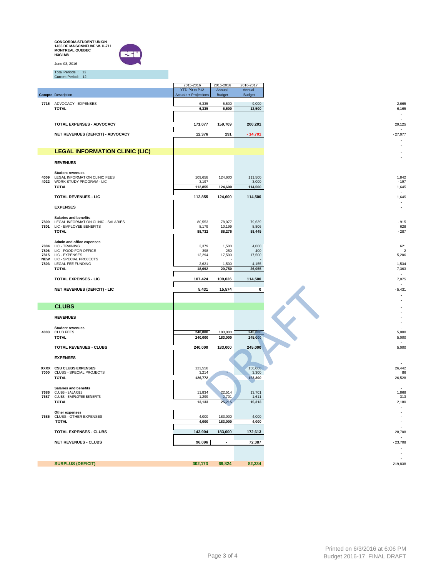|              | <b>CONCORDIA STUDENT UNION</b><br>1455 DE MAISONNEUVE W. H-711<br><b>MONTREAL QUEBEC</b><br>H3G1M8 |                                               |                          |                         |                                            |
|--------------|----------------------------------------------------------------------------------------------------|-----------------------------------------------|--------------------------|-------------------------|--------------------------------------------|
|              | June 03, 2016                                                                                      |                                               |                          |                         |                                            |
|              | Total Periods: 12<br>Current Period: 12                                                            |                                               |                          |                         |                                            |
|              |                                                                                                    | 2015-2016                                     | 2015-2016                | 2016-2017               |                                            |
|              | <b>Compte Description</b>                                                                          | YTD P0 to P12<br><b>Actuals + Projections</b> | Annual<br><b>Budget</b>  | Annual<br><b>Budget</b> |                                            |
|              | 7715 ADVOCACY - EXPENSES                                                                           | 6,335                                         | 5,500                    | 9,000                   | 2,665                                      |
|              | <b>TOTAL</b>                                                                                       | 6,335                                         | 6,500                    | 12,500                  | 6,165<br>$\sim$                            |
|              |                                                                                                    |                                               |                          |                         | $\sim$                                     |
|              | TOTAL EXPENSES - ADVOCACY                                                                          | 171,077                                       | 159,709                  | 200,201                 | 29,125<br>$\sim$                           |
|              | NET REVENUES (DEFICIT) - ADVOCACY                                                                  | 12,376                                        | 291                      | $-14,701$               | $-27,077$                                  |
|              |                                                                                                    |                                               |                          |                         |                                            |
|              | <b>LEGAL INFORMATION CLINIC (LIC)</b>                                                              |                                               |                          |                         |                                            |
|              | <b>REVENUES</b>                                                                                    |                                               |                          |                         |                                            |
|              | <b>Student revenues</b>                                                                            |                                               |                          |                         |                                            |
| 4009         | LEGAL INFORMATION CLINIC FEES<br>4022 WORK STUDY PROGRAM - LIC                                     | 109,658<br>3,197                              | 124,600                  | 111,500<br>3,000        | 1,842<br>$-197$                            |
|              | <b>TOTAL</b>                                                                                       | 112,855                                       | 124,600                  | 114,500                 | 1,645                                      |
|              | <b>TOTAL REVENUES - LIC</b>                                                                        | 112,855                                       | 124,600                  | 114,500                 | 1,645                                      |
|              | <b>EXPENSES</b>                                                                                    |                                               |                          |                         | $\sim$                                     |
|              | <b>Salaries and benefits</b>                                                                       |                                               |                          |                         |                                            |
| 7800<br>7801 | LEGAL INFORMATION CLINIC - SALARIES<br>LIC - EMPLOYEE BENEFITS                                     | 80,553<br>8,179                               | 78,077<br>10,199         | 79,639<br>8,806         | $-915$<br>628                              |
|              | <b>TOTAL</b>                                                                                       | 88,732                                        | 88,276                   | 88,445                  | $-287$                                     |
|              | Admin and office expenses                                                                          |                                               |                          |                         | $\sim$                                     |
|              | 7804 LIC - TRAINING<br>7806 LIC - FOOD FOR OFFICE                                                  | 3,379<br>398                                  | 1,500<br>250             | 4,000<br>400            | 621<br>2                                   |
|              | 7815 LIC - EXPENSES<br>NEW LIC - SPECIAL PROJECTS                                                  | 12,294                                        | 17,500                   | 17,500                  | 5,206                                      |
|              | 7803 LEGAL FEE FUNDING<br><b>TOTAL</b>                                                             | 2,621<br>18,692                               | 1,500<br>20,750          | 4,155<br>26,055         | 1,534<br>7,363                             |
|              | TOTAL EXPENSES - LIC                                                                               | 107,424                                       | 109,026                  | 114,500                 | 7,075                                      |
|              | <b>NET REVENUES (DEFICIT) - LIC</b>                                                                | 5,431                                         | 15,574                   | $\mathbf 0$             | $-5,431$                                   |
|              |                                                                                                    |                                               |                          |                         |                                            |
|              | <b>CLUBS</b>                                                                                       |                                               |                          |                         |                                            |
|              |                                                                                                    |                                               |                          |                         |                                            |
|              | <b>REVENUES</b>                                                                                    |                                               |                          |                         |                                            |
| 4003         | <b>Student revenues</b><br><b>CLUB FEES</b>                                                        | 240,000                                       | 183,000                  | 245,000                 | 5,000                                      |
|              | <b>TOTAL</b>                                                                                       | 240,000                                       | 183,000                  | 245,000                 | 5,000                                      |
|              | TOTAL REVENUES - CLUBS                                                                             | 240,000                                       | 183,000                  | 245,000                 | 5,000                                      |
|              | <b>EXPENSES</b>                                                                                    |                                               |                          |                         |                                            |
|              | XXXX CSU CLUBS EXPENSES                                                                            | 123,558                                       |                          | 150,000                 | 26,442                                     |
|              | 7000 CLUBS - SPECIAL PROJECTS<br><b>TOTAL</b>                                                      | 3,214<br>126,772                              | ÷                        | 3,300<br>153,300        | 86<br>26,528                               |
|              |                                                                                                    |                                               |                          |                         | $\sim$                                     |
| 7686         | <b>Salaries and benefits</b><br><b>CLUBS - SALARIES</b>                                            | 11,834                                        | 22,514                   | 13,701                  | $\sim$<br>1,868                            |
|              | 7687 CLUBS - EMPLOYEE BENEFITS<br><b>TOTAL</b>                                                     | 1,299<br>13,133                               | 2,701<br>25,215          | 1,611<br>15,313         | 313<br>2,180                               |
|              | Other expenses                                                                                     |                                               |                          |                         | $\sim$<br>$\sim$                           |
| 7685         | CLUBS - OTHER EXPENSES                                                                             | 4,000                                         | 183,000                  | 4,000                   | $\overline{\phantom{a}}$                   |
|              | <b>TOTAL</b>                                                                                       | 4,000                                         | 183,000                  | 4,000                   | $\overline{\phantom{a}}$<br>$\overline{a}$ |
|              | <b>TOTAL EXPENSES - CLUBS</b>                                                                      | 143,904                                       | 183,000                  | 172,613                 | 28,708                                     |
|              | <b>NET REVENUES - CLUBS</b>                                                                        | 96,096                                        | $\overline{\phantom{a}}$ | 72,387                  | $-23,708$                                  |
|              |                                                                                                    |                                               |                          |                         | ÷                                          |
|              | <b>SURPLUS (DEFICIT)</b>                                                                           | 302,173                                       | 69,824                   | 82,334                  | $-219,838$                                 |
|              |                                                                                                    |                                               |                          |                         |                                            |